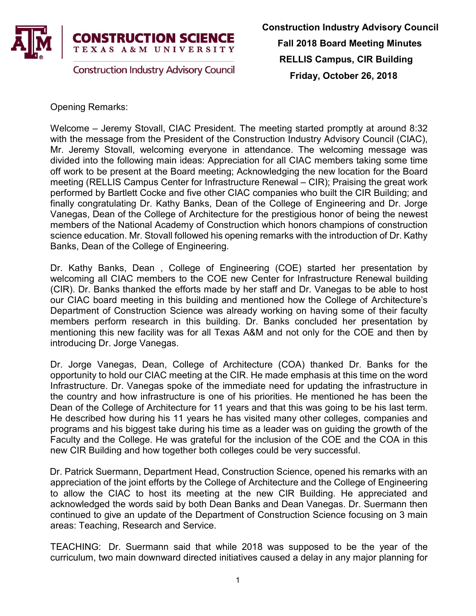

Opening Remarks:

Welcome – Jeremy Stovall, CIAC President. The meeting started promptly at around 8:32 with the message from the President of the Construction Industry Advisory Council (CIAC), Mr. Jeremy Stovall, welcoming everyone in attendance. The welcoming message was divided into the following main ideas: Appreciation for all CIAC members taking some time off work to be present at the Board meeting; Acknowledging the new location for the Board meeting (RELLIS Campus Center for Infrastructure Renewal – CIR); Praising the great work performed by Bartlett Cocke and five other CIAC companies who built the CIR Building; and finally congratulating Dr. Kathy Banks, Dean of the College of Engineering and Dr. Jorge Vanegas, Dean of the College of Architecture for the prestigious honor of being the newest members of the National Academy of Construction which honors champions of construction science education. Mr. Stovall followed his opening remarks with the introduction of Dr. Kathy Banks, Dean of the College of Engineering.

Dr. Kathy Banks, Dean , College of Engineering (COE) started her presentation by welcoming all CIAC members to the COE new Center for Infrastructure Renewal building (CIR). Dr. Banks thanked the efforts made by her staff and Dr. Vanegas to be able to host our CIAC board meeting in this building and mentioned how the College of Architecture's Department of Construction Science was already working on having some of their faculty members perform research in this building. Dr. Banks concluded her presentation by mentioning this new facility was for all Texas A&M and not only for the COE and then by introducing Dr. Jorge Vanegas.

Dr. Jorge Vanegas, Dean, College of Architecture (COA) thanked Dr. Banks for the opportunity to hold our CIAC meeting at the CIR. He made emphasis at this time on the word Infrastructure. Dr. Vanegas spoke of the immediate need for updating the infrastructure in the country and how infrastructure is one of his priorities. He mentioned he has been the Dean of the College of Architecture for 11 years and that this was going to be his last term. He described how during his 11 years he has visited many other colleges, companies and programs and his biggest take during his time as a leader was on guiding the growth of the Faculty and the College. He was grateful for the inclusion of the COE and the COA in this new CIR Building and how together both colleges could be very successful.

Dr. Patrick Suermann, Department Head, Construction Science, opened his remarks with an appreciation of the joint efforts by the College of Architecture and the College of Engineering to allow the CIAC to host its meeting at the new CIR Building. He appreciated and acknowledged the words said by both Dean Banks and Dean Vanegas. Dr. Suermann then continued to give an update of the Department of Construction Science focusing on 3 main areas: Teaching, Research and Service.

TEACHING: Dr. Suermann said that while 2018 was supposed to be the year of the curriculum, two main downward directed initiatives caused a delay in any major planning for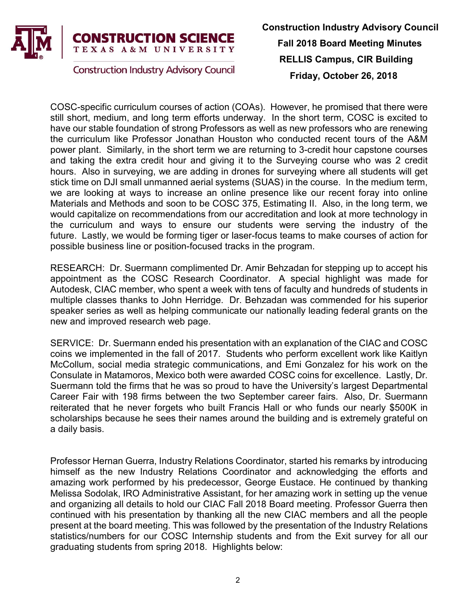

**Construction Industry Advisory Council** 

COSC-specific curriculum courses of action (COAs). However, he promised that there were still short, medium, and long term efforts underway. In the short term, COSC is excited to have our stable foundation of strong Professors as well as new professors who are renewing the curriculum like Professor Jonathan Houston who conducted recent tours of the A&M power plant. Similarly, in the short term we are returning to 3-credit hour capstone courses and taking the extra credit hour and giving it to the Surveying course who was 2 credit hours. Also in surveying, we are adding in drones for surveying where all students will get stick time on DJI small unmanned aerial systems (SUAS) in the course. In the medium term, we are looking at ways to increase an online presence like our recent foray into online Materials and Methods and soon to be COSC 375, Estimating II. Also, in the long term, we would capitalize on recommendations from our accreditation and look at more technology in the curriculum and ways to ensure our students were serving the industry of the future. Lastly, we would be forming tiger or laser-focus teams to make courses of action for possible business line or position-focused tracks in the program.

RESEARCH: Dr. Suermann complimented Dr. Amir Behzadan for stepping up to accept his appointment as the COSC Research Coordinator. A special highlight was made for Autodesk, CIAC member, who spent a week with tens of faculty and hundreds of students in multiple classes thanks to John Herridge. Dr. Behzadan was commended for his superior speaker series as well as helping communicate our nationally leading federal grants on the new and improved research web page.

SERVICE: Dr. Suermann ended his presentation with an explanation of the CIAC and COSC coins we implemented in the fall of 2017. Students who perform excellent work like Kaitlyn McCollum, social media strategic communications, and Emi Gonzalez for his work on the Consulate in Matamoros, Mexico both were awarded COSC coins for excellence. Lastly, Dr. Suermann told the firms that he was so proud to have the University's largest Departmental Career Fair with 198 firms between the two September career fairs. Also, Dr. Suermann reiterated that he never forgets who built Francis Hall or who funds our nearly \$500K in scholarships because he sees their names around the building and is extremely grateful on a daily basis.

Professor Hernan Guerra, Industry Relations Coordinator, started his remarks by introducing himself as the new Industry Relations Coordinator and acknowledging the efforts and amazing work performed by his predecessor, George Eustace. He continued by thanking Melissa Sodolak, IRO Administrative Assistant, for her amazing work in setting up the venue and organizing all details to hold our CIAC Fall 2018 Board meeting. Professor Guerra then continued with his presentation by thanking all the new CIAC members and all the people present at the board meeting. This was followed by the presentation of the Industry Relations statistics/numbers for our COSC Internship students and from the Exit survey for all our graduating students from spring 2018. Highlights below: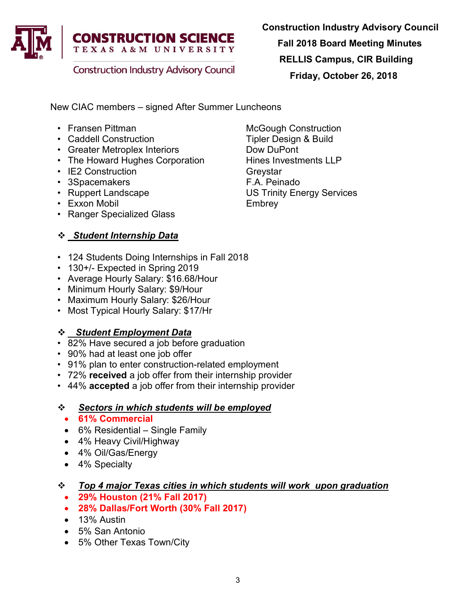

**Construction Industry Advisory Council** 

Construction Industry Advisory Council

Fall 2018 Board Meeting Minutes

RELLIS Campus, CIR Building

Friday, October 26, 2018

New CIAC members – signed After Summer Luncheons

- Fransen Pittman McGough Construction
- Caddell Construction Tipler Design & Build
- Greater Metroplex Interiors **Example 10** Dow DuPont
- The Howard Hughes Corporation Hines Investments LLP
- IE2 Construction Greystar
- 
- 
- Exxon Mobil **Embrey**
- Ranger Specialized Glass

# Student Internship Data

- 124 Students Doing Internships in Fall 2018
- 130+/- Expected in Spring 2019
- Average Hourly Salary: \$16.68/Hour
- Minimum Hourly Salary: \$9/Hour
- Maximum Hourly Salary: \$26/Hour
- Most Typical Hourly Salary: \$17/Hr

# Student Employment Data

- 82% Have secured a job before graduation
- 90% had at least one job offer
- 91% plan to enter construction-related employment
- 72% received a job offer from their internship provider
- 44% accepted a job offer from their internship provider

# Sectors in which students will be employed

- 61% Commercial
- 6% Residential Single Family
- 4% Heavy Civil/Highway
- 4% Oil/Gas/Energy
- 4% Specialty

# Top 4 major Texas cities in which students will work upon graduation

- 29% Houston (21% Fall 2017)
- 28% Dallas/Fort Worth (30% Fall 2017)
- 13% Austin
- 5% San Antonio
- 5% Other Texas Town/City

• 3Spacemakers F.A. Peinado **US Trinity Energy Services**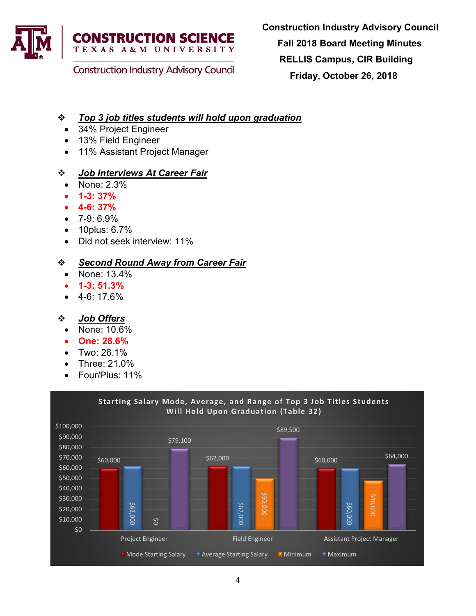

## **Construction Industry Advisory Council**

## Top 3 job titles students will hold upon graduation

- 34% Project Engineer
- 13% Field Engineer
- 11% Assistant Project Manager

### *Sob Interviews At Career Fair*

- None: 2.3%
- 1-3: 37%
- 4-6: 37%
- 7-9: 6.9%
- 10plus: 6.7%
- Did not seek interview: 11%

## ❖ Second Round Away from Career Fair

- None: 13.4%
- 1-3: 51.3%
- 4-6: 17.6%

### ❖ Job Offers

- None: 10.6%
- One: 28.6%
- Two: 26.1%
- Three: 21.0%
- Four/Plus: 11%

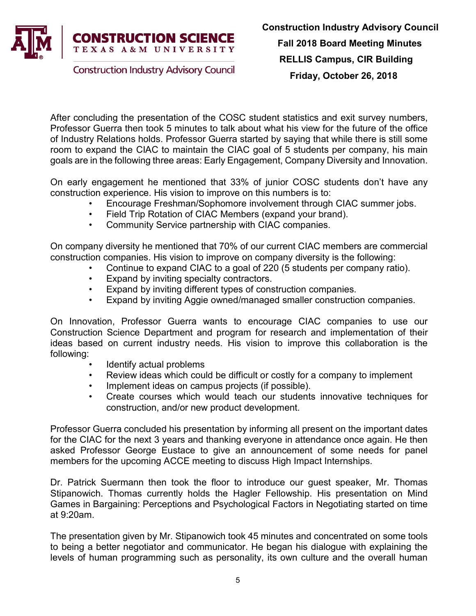

After concluding the presentation of the COSC student statistics and exit survey numbers, Professor Guerra then took 5 minutes to talk about what his view for the future of the office of Industry Relations holds. Professor Guerra started by saying that while there is still some room to expand the CIAC to maintain the CIAC goal of 5 students per company, his main goals are in the following three areas: Early Engagement, Company Diversity and Innovation.

On early engagement he mentioned that 33% of junior COSC students don't have any construction experience. His vision to improve on this numbers is to:

- Encourage Freshman/Sophomore involvement through CIAC summer jobs.
- Field Trip Rotation of CIAC Members (expand your brand).
- Community Service partnership with CIAC companies.

On company diversity he mentioned that 70% of our current CIAC members are commercial construction companies. His vision to improve on company diversity is the following:

- Continue to expand CIAC to a goal of 220 (5 students per company ratio).
- Expand by inviting specialty contractors.
- Expand by inviting different types of construction companies.
- Expand by inviting Aggie owned/managed smaller construction companies.

On Innovation, Professor Guerra wants to encourage CIAC companies to use our Construction Science Department and program for research and implementation of their ideas based on current industry needs. His vision to improve this collaboration is the following:

- Identify actual problems
- Review ideas which could be difficult or costly for a company to implement
- Implement ideas on campus projects (if possible).
- Create courses which would teach our students innovative techniques for construction, and/or new product development.

Professor Guerra concluded his presentation by informing all present on the important dates for the CIAC for the next 3 years and thanking everyone in attendance once again. He then asked Professor George Eustace to give an announcement of some needs for panel members for the upcoming ACCE meeting to discuss High Impact Internships.

Dr. Patrick Suermann then took the floor to introduce our guest speaker, Mr. Thomas Stipanowich. Thomas currently holds the Hagler Fellowship. His presentation on Mind Games in Bargaining: Perceptions and Psychological Factors in Negotiating started on time at 9:20am.

The presentation given by Mr. Stipanowich took 45 minutes and concentrated on some tools to being a better negotiator and communicator. He began his dialogue with explaining the levels of human programming such as personality, its own culture and the overall human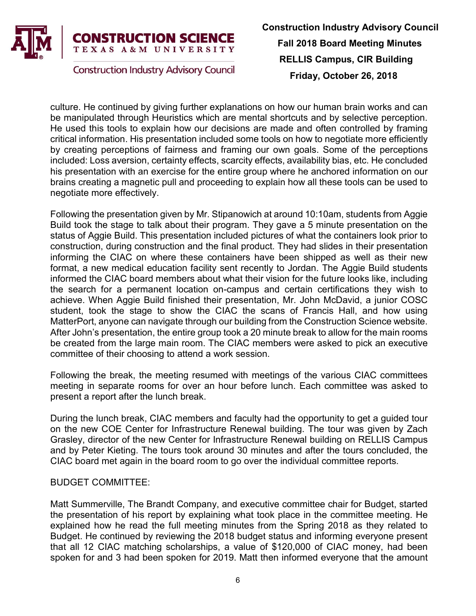

**Construction Industry Advisory Council** 

culture. He continued by giving further explanations on how our human brain works and can be manipulated through Heuristics which are mental shortcuts and by selective perception. He used this tools to explain how our decisions are made and often controlled by framing critical information. His presentation included some tools on how to negotiate more efficiently by creating perceptions of fairness and framing our own goals. Some of the perceptions included: Loss aversion, certainty effects, scarcity effects, availability bias, etc. He concluded his presentation with an exercise for the entire group where he anchored information on our brains creating a magnetic pull and proceeding to explain how all these tools can be used to negotiate more effectively.

Following the presentation given by Mr. Stipanowich at around 10:10am, students from Aggie Build took the stage to talk about their program. They gave a 5 minute presentation on the status of Aggie Build. This presentation included pictures of what the containers look prior to construction, during construction and the final product. They had slides in their presentation informing the CIAC on where these containers have been shipped as well as their new format, a new medical education facility sent recently to Jordan. The Aggie Build students informed the CIAC board members about what their vision for the future looks like, including the search for a permanent location on-campus and certain certifications they wish to achieve. When Aggie Build finished their presentation, Mr. John McDavid, a junior COSC student, took the stage to show the CIAC the scans of Francis Hall, and how using MatterPort, anyone can navigate through our building from the Construction Science website. After John's presentation, the entire group took a 20 minute break to allow for the main rooms be created from the large main room. The CIAC members were asked to pick an executive committee of their choosing to attend a work session.

Following the break, the meeting resumed with meetings of the various CIAC committees meeting in separate rooms for over an hour before lunch. Each committee was asked to present a report after the lunch break.

During the lunch break, CIAC members and faculty had the opportunity to get a guided tour on the new COE Center for Infrastructure Renewal building. The tour was given by Zach Grasley, director of the new Center for Infrastructure Renewal building on RELLIS Campus and by Peter Kieting. The tours took around 30 minutes and after the tours concluded, the CIAC board met again in the board room to go over the individual committee reports.

### BUDGET COMMITTEE:

Matt Summerville, The Brandt Company, and executive committee chair for Budget, started the presentation of his report by explaining what took place in the committee meeting. He explained how he read the full meeting minutes from the Spring 2018 as they related to Budget. He continued by reviewing the 2018 budget status and informing everyone present that all 12 CIAC matching scholarships, a value of \$120,000 of CIAC money, had been spoken for and 3 had been spoken for 2019. Matt then informed everyone that the amount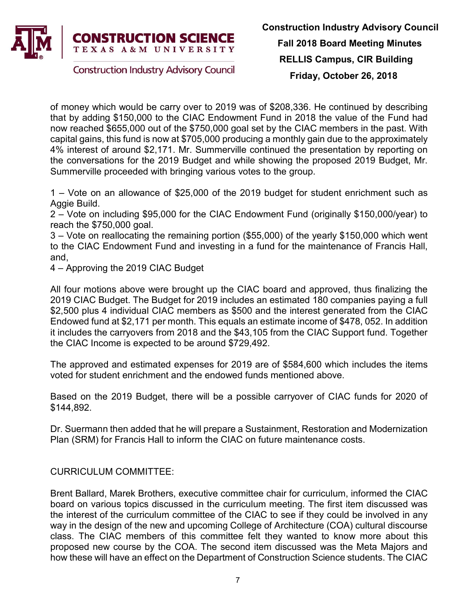

of money which would be carry over to 2019 was of \$208,336. He continued by describing that by adding \$150,000 to the CIAC Endowment Fund in 2018 the value of the Fund had now reached \$655,000 out of the \$750,000 goal set by the CIAC members in the past. With capital gains, this fund is now at \$705,000 producing a monthly gain due to the approximately 4% interest of around \$2,171. Mr. Summerville continued the presentation by reporting on the conversations for the 2019 Budget and while showing the proposed 2019 Budget, Mr. Summerville proceeded with bringing various votes to the group.

1 – Vote on an allowance of \$25,000 of the 2019 budget for student enrichment such as Aggie Build.

2 – Vote on including \$95,000 for the CIAC Endowment Fund (originally \$150,000/year) to reach the \$750,000 goal.

3 – Vote on reallocating the remaining portion (\$55,000) of the yearly \$150,000 which went to the CIAC Endowment Fund and investing in a fund for the maintenance of Francis Hall, and,

4 – Approving the 2019 CIAC Budget

All four motions above were brought up the CIAC board and approved, thus finalizing the 2019 CIAC Budget. The Budget for 2019 includes an estimated 180 companies paying a full \$2,500 plus 4 individual CIAC members as \$500 and the interest generated from the CIAC Endowed fund at \$2,171 per month. This equals an estimate income of \$478, 052. In addition it includes the carryovers from 2018 and the \$43,105 from the CIAC Support fund. Together the CIAC Income is expected to be around \$729,492.

The approved and estimated expenses for 2019 are of \$584,600 which includes the items voted for student enrichment and the endowed funds mentioned above.

Based on the 2019 Budget, there will be a possible carryover of CIAC funds for 2020 of \$144,892.

Dr. Suermann then added that he will prepare a Sustainment, Restoration and Modernization Plan (SRM) for Francis Hall to inform the CIAC on future maintenance costs.

CURRICULUM COMMITTEE:

Brent Ballard, Marek Brothers, executive committee chair for curriculum, informed the CIAC board on various topics discussed in the curriculum meeting. The first item discussed was the interest of the curriculum committee of the CIAC to see if they could be involved in any way in the design of the new and upcoming College of Architecture (COA) cultural discourse class. The CIAC members of this committee felt they wanted to know more about this proposed new course by the COA. The second item discussed was the Meta Majors and how these will have an effect on the Department of Construction Science students. The CIAC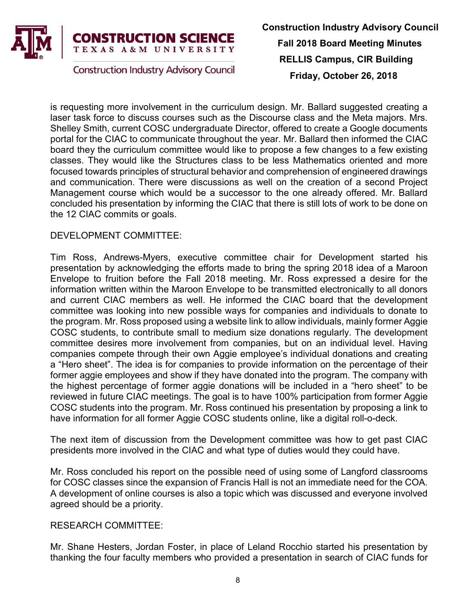

**Construction Industry Advisory Council** 

is requesting more involvement in the curriculum design. Mr. Ballard suggested creating a laser task force to discuss courses such as the Discourse class and the Meta majors. Mrs. Shelley Smith, current COSC undergraduate Director, offered to create a Google documents portal for the CIAC to communicate throughout the year. Mr. Ballard then informed the CIAC board they the curriculum committee would like to propose a few changes to a few existing classes. They would like the Structures class to be less Mathematics oriented and more focused towards principles of structural behavior and comprehension of engineered drawings and communication. There were discussions as well on the creation of a second Project Management course which would be a successor to the one already offered. Mr. Ballard concluded his presentation by informing the CIAC that there is still lots of work to be done on the 12 CIAC commits or goals.

### DEVELOPMENT COMMITTEE:

Tim Ross, Andrews-Myers, executive committee chair for Development started his presentation by acknowledging the efforts made to bring the spring 2018 idea of a Maroon Envelope to fruition before the Fall 2018 meeting. Mr. Ross expressed a desire for the information written within the Maroon Envelope to be transmitted electronically to all donors and current CIAC members as well. He informed the CIAC board that the development committee was looking into new possible ways for companies and individuals to donate to the program. Mr. Ross proposed using a website link to allow individuals, mainly former Aggie COSC students, to contribute small to medium size donations regularly. The development committee desires more involvement from companies, but on an individual level. Having companies compete through their own Aggie employee's individual donations and creating a "Hero sheet". The idea is for companies to provide information on the percentage of their former aggie employees and show if they have donated into the program. The company with the highest percentage of former aggie donations will be included in a "hero sheet" to be reviewed in future CIAC meetings. The goal is to have 100% participation from former Aggie COSC students into the program. Mr. Ross continued his presentation by proposing a link to have information for all former Aggie COSC students online, like a digital roll-o-deck.

The next item of discussion from the Development committee was how to get past CIAC presidents more involved in the CIAC and what type of duties would they could have.

Mr. Ross concluded his report on the possible need of using some of Langford classrooms for COSC classes since the expansion of Francis Hall is not an immediate need for the COA. A development of online courses is also a topic which was discussed and everyone involved agreed should be a priority.

#### RESEARCH COMMITTEE:

Mr. Shane Hesters, Jordan Foster, in place of Leland Rocchio started his presentation by thanking the four faculty members who provided a presentation in search of CIAC funds for